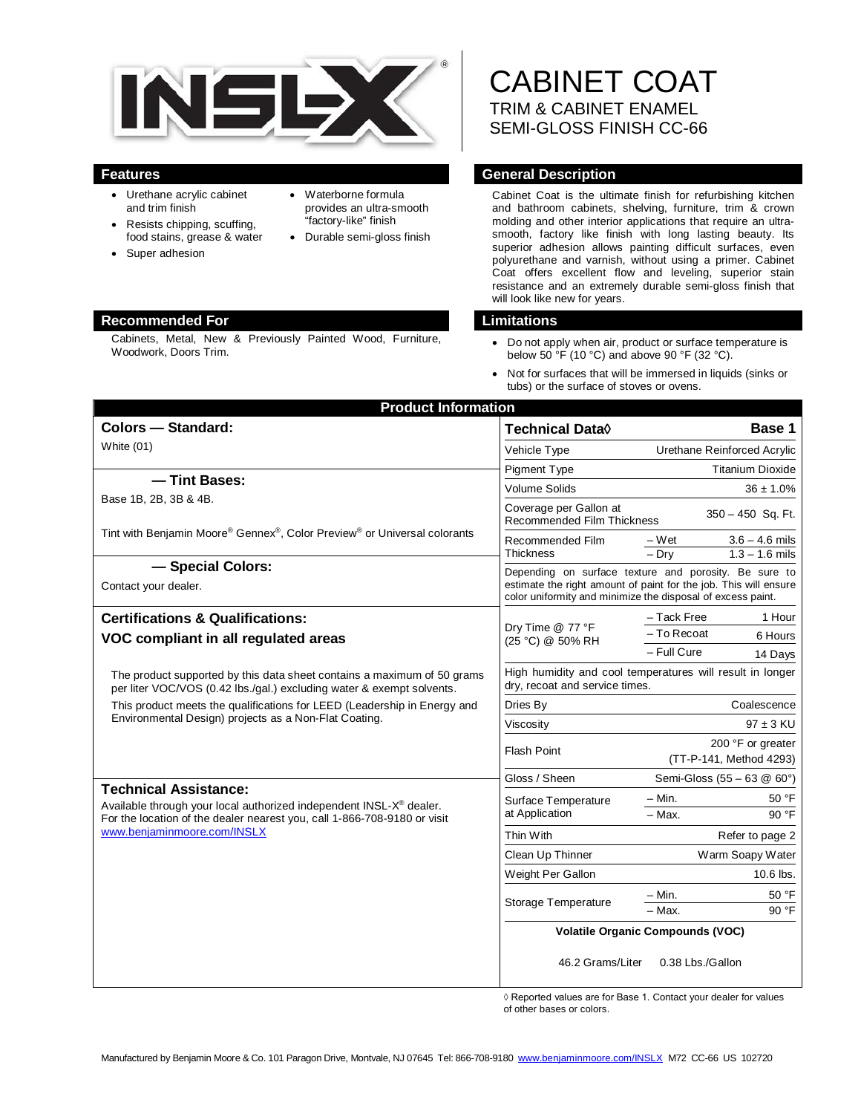

- Urethane acrylic cabinet and trim finish
- Resists chipping, scuffing, food stains, grease & water
- Super adhesion
- Waterborne formula provides an ultra-smooth "factory-like" finish
- Durable semi-gloss finish

## **Recommended For Limitations**

Cabinets, Metal, New & Previously Painted Wood, Furniture, Woodwork, Doors Trim.

# CABINET COAT TRIM & CABINET ENAMEL SEMI-GLOSS FINISH CC-66

## **Features General Description**

Cabinet Coat is the ultimate finish for refurbishing kitchen and bathroom cabinets, shelving, furniture, trim & crown molding and other interior applications that require an ultrasmooth, factory like finish with long lasting beauty. Its superior adhesion allows painting difficult surfaces, even polyurethane and varnish, without using a primer. Cabinet Coat offers excellent flow and leveling, superior stain resistance and an extremely durable semi-gloss finish that will look like new for years.

- Do not apply when air, product or surface temperature is below 50  $\mathrm{°F}$  (10 °C) and above 90 °F (32 °C).
- Not for surfaces that will be immersed in liquids (sinks or tubs) or the surface of stoves or ovens.

| <b>Product Information</b><br><b>Colors - Standard:</b>                                                                                                                                    | Technical Data <sup>(</sup>                                                                                                                                                              | Base 1                                                   |
|--------------------------------------------------------------------------------------------------------------------------------------------------------------------------------------------|------------------------------------------------------------------------------------------------------------------------------------------------------------------------------------------|----------------------------------------------------------|
| White (01)                                                                                                                                                                                 |                                                                                                                                                                                          |                                                          |
|                                                                                                                                                                                            | Vehicle Type                                                                                                                                                                             | Urethane Reinforced Acrylic                              |
| - Tint Bases:                                                                                                                                                                              | Pigment Type                                                                                                                                                                             | <b>Titanium Dioxide</b>                                  |
| Base 1B, 2B, 3B & 4B.                                                                                                                                                                      | Volume Solids                                                                                                                                                                            | $36 \pm 1.0\%$                                           |
|                                                                                                                                                                                            | Coverage per Gallon at<br>350 - 450 Sq. Ft.<br><b>Recommended Film Thickness</b>                                                                                                         |                                                          |
| Tint with Benjamin Moore® Gennex®, Color Preview® or Universal colorants                                                                                                                   | Recommended Film<br><b>Thickness</b>                                                                                                                                                     | $3.6 - 4.6$ mils<br>– Wet<br>$-$ Dry<br>$1.3 - 1.6$ mils |
| - Special Colors:<br>Contact your dealer.                                                                                                                                                  | Depending on surface texture and porosity. Be sure to<br>estimate the right amount of paint for the job. This will ensure<br>color uniformity and minimize the disposal of excess paint. |                                                          |
| <b>Certifications &amp; Qualifications:</b>                                                                                                                                                | Dry Time @ 77 °F<br>(25 °C) @ 50% RH                                                                                                                                                     | - Tack Free<br>1 Hour                                    |
| VOC compliant in all regulated areas                                                                                                                                                       |                                                                                                                                                                                          | - To Recoat<br>6 Hours                                   |
|                                                                                                                                                                                            |                                                                                                                                                                                          | - Full Cure<br>14 Days                                   |
| The product supported by this data sheet contains a maximum of 50 grams<br>per liter VOC/VOS (0.42 lbs./gal.) excluding water & exempt solvents.                                           | High humidity and cool temperatures will result in longer<br>dry, recoat and service times.                                                                                              |                                                          |
| This product meets the qualifications for LEED (Leadership in Energy and<br>Environmental Design) projects as a Non-Flat Coating.                                                          | Dries By                                                                                                                                                                                 | Coalescence                                              |
|                                                                                                                                                                                            | Viscosity                                                                                                                                                                                | $97 \pm 3$ KU                                            |
|                                                                                                                                                                                            | <b>Flash Point</b>                                                                                                                                                                       | 200 °F or greater                                        |
|                                                                                                                                                                                            |                                                                                                                                                                                          | (TT-P-141, Method 4293)                                  |
| <b>Technical Assistance:</b>                                                                                                                                                               | Gloss / Sheen                                                                                                                                                                            | Semi-Gloss (55 - 63 @ 60°)                               |
| Available through your local authorized independent INSL-X <sup>®</sup> dealer.<br>For the location of the dealer nearest you, call 1-866-708-9180 or visit<br>www.benjaminmoore.com/INSLX | Surface Temperature<br>at Application                                                                                                                                                    | 50 °F<br>– Min.                                          |
|                                                                                                                                                                                            |                                                                                                                                                                                          | - Max.<br>90 °F                                          |
|                                                                                                                                                                                            | Thin With                                                                                                                                                                                | Refer to page 2                                          |
|                                                                                                                                                                                            | Clean Up Thinner                                                                                                                                                                         | Warm Soapy Water                                         |
|                                                                                                                                                                                            | Weight Per Gallon                                                                                                                                                                        | 10.6 lbs.                                                |
|                                                                                                                                                                                            | Storage Temperature                                                                                                                                                                      | 50 °F<br>$-$ Min.                                        |
|                                                                                                                                                                                            |                                                                                                                                                                                          | 90 °F<br>- Max.                                          |
|                                                                                                                                                                                            | <b>Volatile Organic Compounds (VOC)</b>                                                                                                                                                  |                                                          |
|                                                                                                                                                                                            | 46.2 Grams/Liter                                                                                                                                                                         | 0.38 Lbs./Gallon                                         |

◊ Reported values are for Base 1. Contact your dealer for values of other bases or colors.